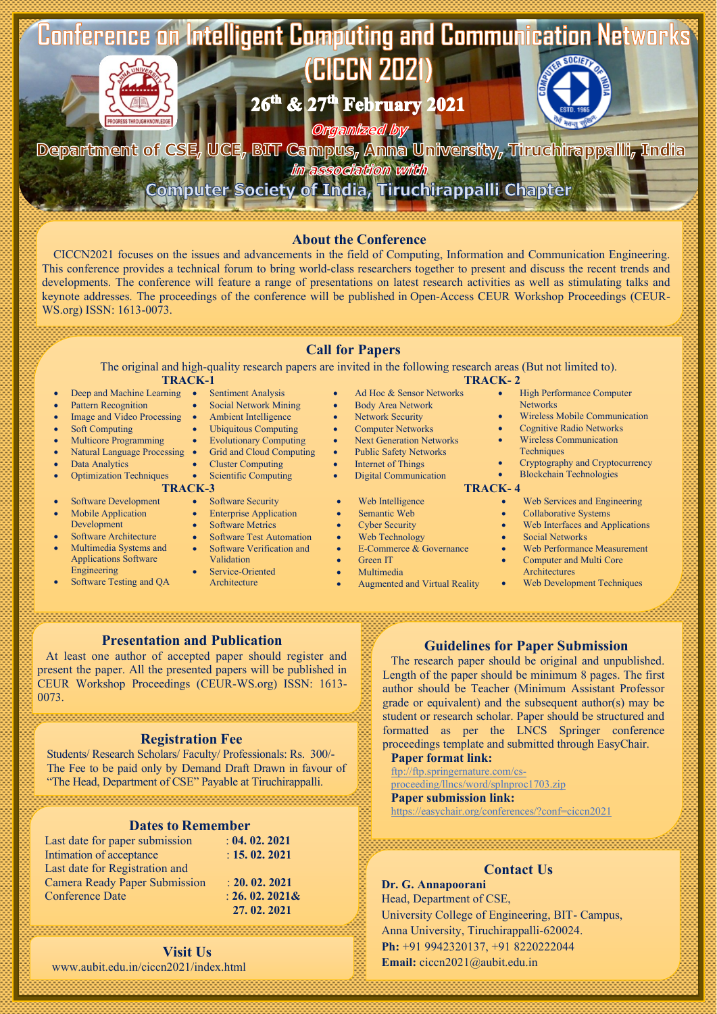

### **About the Conference**

CICCN2021 focuses on the issues and advancements in the field of Computing, Information and Communication Engineering. This conference provides a technical forum to bring world-class researchers together to present and discuss the recent trends and developments. The conference will feature a range of presentations on latest research activities as well as stimulating talks and keynote addresses. The proceedings of the conference will be published in Open-Access CEUR Workshop Proceedings (CEUR-WS.org) ISSN: 1613-0073.

**Call for Papers**

The original and high-quality research papers are invited in the following research areas (But not limited to). **TRACK-1** TRACK-2

**Deep and Machine Learning** •

. . . . . . . . . . . . . . . . . .

- Pattern Recognition
- Image and Video Processing
- Soft Computing
- Multicore Programming
- Natural Language Processing Data Analytics
- 
- **Optimization Techniques**
- Software Development Mobile Application
- Development Software Architecture
- Multimedia Systems and Applications Software Engineering
- Software Testing and QA
- Cluster Computing Scientific Computing **TRACK-3 TRACK-4** • Software Security **Enterprise Application** Software Metrics Software Test Automation Software Verification and Validation
	- Service-Oriented Architecture

• Sentiment Analysis Social Network Mining • Ambient Intelligence Ubiquitous Computing **Evolutionary Computing** Grid and Cloud Computing

- Ad Hoc & Sensor Networks • Body Area Network
- Network Security
- Computer Networks
- Next Generation Networks
- Public Safety Networks
	- Internet of Things
	- Digital Communication
	- Web Intelligence
	- Semantic Web
	- Cyber Security
- Web Technology
- E-Commerce & Governance
	- Green IT
		- Multimedia
		- Augmented and Virtual Reality
- High Performance Computer **Networks**
- Wireless Mobile Communication
- Cognitive Radio Networks
- Wireless Communication
- **Techniques**
- Cryptography and Cryptocurrency
- Blockchain Technologies
- - Web Services and Engineering
	- Collaborative Systems
	- Web Interfaces and Applications
	- Social Networks
	- Web Performance Measurement
	- Computer and Multi Core Architectures
	- Web Development Techniques

### **Presentation and Publication**

At least one author of accepted paper should register and present the paper. All the presented papers will be published in CEUR Workshop Proceedings (CEUR-WS.org) ISSN: 1613- 0073.

### **Registration Fee**

Students/ Research Scholars/ Faculty/ Professionals: Rs. 300/- The Fee to be paid only by Demand Draft Drawn in favour of "The Head, Department of CSE" Payable at Tiruchirappalli.

### **Dates to Remember**

| Last date for paper submission | : 04.02.2021     |
|--------------------------------|------------------|
| Intimation of acceptance       | : 15.02.2021     |
| Last date for Registration and |                  |
| Camera Ready Paper Submission  | : 20.02.2021     |
| <b>Conference Date</b>         | $: 26.02.2021$ & |
|                                | 27.02.2021       |

**Visit Us** 

www.aubit.edu.in/ciccn2021/index.html

### **Guidelines for Paper Submission**

The research paper should be original and unpublished. Length of the paper should be minimum 8 pages. The first author should be Teacher (Minimum Assistant Professor grade or equivalent) and the subsequent author(s) may be student or research scholar. Paper should be structured and formatted as per the LNCS Springer conference proceedings template and submitted through EasyChair.

**Paper format link:**

[ftp://ftp.springernature.com/cs](ftp://ftp.springernature.com/cs-proceeding/llncs/word/splnproc1703.zip)[proceeding/llncs/word/splnproc1703.zip](ftp://ftp.springernature.com/cs-proceeding/llncs/word/splnproc1703.zip)

#### **Paper submission link:**

https://easychair.org/conferences/?conf=ciccn2021

## **Contact Us**

**Dr. G. Annapoorani** Head, Department of CSE, University College of Engineering, BIT- Campus, Anna University, Tiruchirappalli-620024. **Ph:** +91 9942320137, +91 8220222044 **Email:** ciccn2021@aubit.edu.in